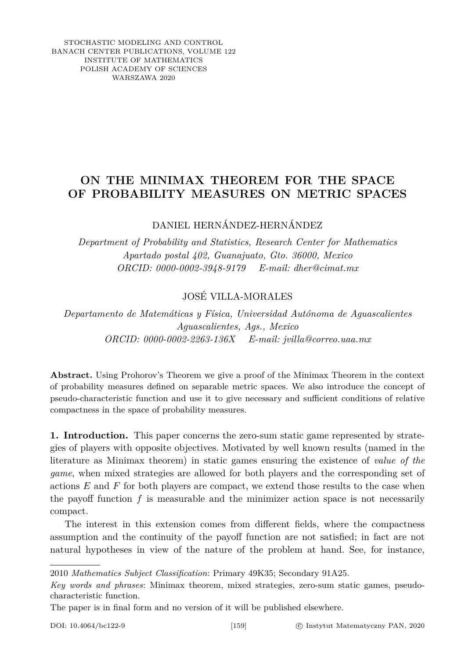STOCHASTIC MODELING AND CONTROL BANACH CENTER PUBLICATIONS, VOLUME 122 INSTITUTE OF MATHEMATICS POLISH ACADEMY OF SCIENCES WARSZAWA 2020

## **ON THE MINIMAX THEOREM FOR THE SPACE OF PROBABILITY MEASURES ON METRIC SPACES**

DANIEL HERNÁNDEZ-HERNÁNDEZ

*Department of Probability and Statistics, Research Center for Mathematics Apartado postal 402, Guanajuato, Gto. 36000, Mexico ORCID: 0000-0002-3948-9179 E-mail: dher@cimat.mx*

## JOSÉ VILLA-MORALES

*Departamento de Matemáticas y Física, Universidad Autónoma de Aguascalientes Aguascalientes, Ags., Mexico ORCID: 0000-0002-2263-136X E-mail: jvilla@correo.uaa.mx*

**Abstract.** Using Prohorov's Theorem we give a proof of the Minimax Theorem in the context of probability measures defined on separable metric spaces. We also introduce the concept of pseudo-characteristic function and use it to give necessary and sufficient conditions of relative compactness in the space of probability measures.

**1. Introduction.** This paper concerns the zero-sum static game represented by strategies of players with opposite objectives. Motivated by well known results (named in the literature as Minimax theorem) in static games ensuring the existence of *value of the game*, when mixed strategies are allowed for both players and the corresponding set of actions *E* and *F* for both players are compact, we extend those results to the case when the payoff function  $f$  is measurable and the minimizer action space is not necessarily compact.

The interest in this extension comes from different fields, where the compactness assumption and the continuity of the payoff function are not satisfied; in fact are not natural hypotheses in view of the nature of the problem at hand. See, for instance,

2010 *Mathematics Subject Classification*: Primary 49K35; Secondary 91A25.

*Key words and phrases*: Minimax theorem, mixed strategies, zero-sum static games, pseudocharacteristic function.

The paper is in final form and no version of it will be published elsewhere.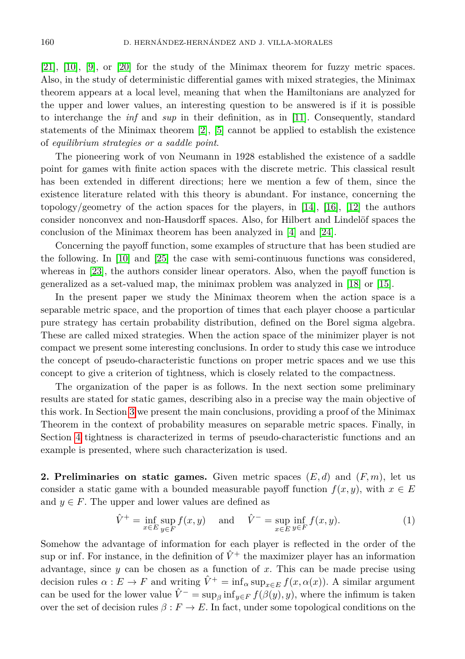[\[21\]](#page-9-0), [\[10\]](#page-9-1), [\[9\]](#page-9-2), or [\[20\]](#page-9-3) for the study of the Minimax theorem for fuzzy metric spaces. Also, in the study of deterministic differential games with mixed strategies, the Minimax theorem appears at a local level, meaning that when the Hamiltonians are analyzed for the upper and lower values, an interesting question to be answered is if it is possible to interchange the *inf* and *sup* in their definition, as in [\[11\]](#page-9-4). Consequently, standard statements of the Minimax theorem  $[2]$ ,  $[5]$  cannot be applied to establish the existence of *equilibrium strategies or a saddle point*.

The pioneering work of von Neumann in 1928 established the existence of a saddle point for games with finite action spaces with the discrete metric. This classical result has been extended in different directions; here we mention a few of them, since the existence literature related with this theory is abundant. For instance, concerning the topology/geometry of the action spaces for the players, in  $[14]$ ,  $[16]$ ,  $[12]$  the authors consider nonconvex and non-Hausdorff spaces. Also, for Hilbert and Lindelöf spaces the conclusion of the Minimax theorem has been analyzed in [\[4\]](#page-9-9) and [\[24\]](#page-9-10).

Concerning the payoff function, some examples of structure that has been studied are the following. In [\[10\]](#page-9-1) and [\[25\]](#page-9-11) the case with semi-continuous functions was considered, whereas in [\[23\]](#page-9-12), the authors consider linear operators. Also, when the payoff function is generalized as a set-valued map, the minimax problem was analyzed in [\[18\]](#page-9-13) or [\[15\]](#page-9-14).

In the present paper we study the Minimax theorem when the action space is a separable metric space, and the proportion of times that each player choose a particular pure strategy has certain probability distribution, defined on the Borel sigma algebra. These are called mixed strategies. When the action space of the minimizer player is not compact we present some interesting conclusions. In order to study this case we introduce the concept of pseudo-characteristic functions on proper metric spaces and we use this concept to give a criterion of tightness, which is closely related to the compactness.

The organization of the paper is as follows. In the next section some preliminary results are stated for static games, describing also in a precise way the main objective of this work. In Section [3](#page-3-0) we present the main conclusions, providing a proof of the Minimax Theorem in the context of probability measures on separable metric spaces. Finally, in Section [4](#page-6-0) tightness is characterized in terms of pseudo-characteristic functions and an example is presented, where such characterization is used.

**2. Preliminaries on static games.** Given metric spaces  $(E, d)$  and  $(F, m)$ , let us consider a static game with a bounded measurable payoff function  $f(x, y)$ , with  $x \in E$ and  $y \in F$ . The upper and lower values are defined as

<span id="page-1-0"></span>
$$
\hat{V}^+ = \inf_{x \in E} \sup_{y \in F} f(x, y) \quad \text{and} \quad \hat{V}^- = \sup_{x \in E} \inf_{y \in F} f(x, y). \tag{1}
$$

Somehow the advantage of information for each player is reflected in the order of the sup or inf. For instance, in the definition of  $\hat{V}^+$  the maximizer player has an information advantage, since *y* can be chosen as a function of *x*. This can be made precise using decision rules  $\alpha : E \to F$  and writing  $\hat{V}^+ = \inf_{\alpha} \sup_{x \in E} f(x, \alpha(x))$ . A similar argument can be used for the lower value  $\hat{V}$ <sup>−</sup> = sup<sub>*β*</sub> inf<sub>*y*∈*F*</sub>  $f(\beta(y), y)$ , where the infimum is taken over the set of decision rules  $\beta : F \to E$ . In fact, under some topological conditions on the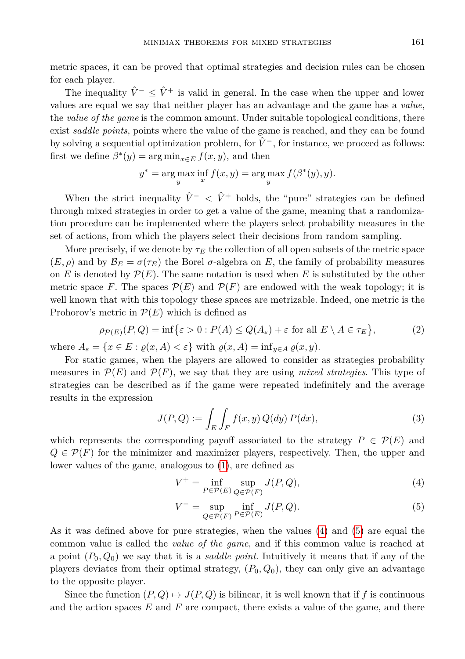metric spaces, it can be proved that optimal strategies and decision rules can be chosen for each player.

The inequality  $\hat{V}^{-} < \hat{V}^{+}$  is valid in general. In the case when the upper and lower values are equal we say that neither player has an advantage and the game has a *value*, the *value of the game* is the common amount. Under suitable topological conditions, there exist *saddle points*, points where the value of the game is reached, and they can be found by solving a sequential optimization problem, for  $\hat{V}^-$ , for instance, we proceed as follows: first we define  $\beta^*(y) = \arg \min_{x \in E} f(x, y)$ , and then

$$
y^* = \arg\max_y \inf_x f(x, y) = \arg\max_y f(\beta^*(y), y).
$$

When the strict inequality  $\hat{V}^- < \hat{V}^+$  holds, the "pure" strategies can be defined through mixed strategies in order to get a value of the game, meaning that a randomization procedure can be implemented where the players select probability measures in the set of actions, from which the players select their decisions from random sampling.

More precisely, if we denote by  $\tau_E$  the collection of all open subsets of the metric space  $(E, \rho)$  and by  $\mathcal{B}_E = \sigma(\tau_E)$  the Borel  $\sigma$ -algebra on *E*, the family of probability measures on *E* is denoted by  $\mathcal{P}(E)$ . The same notation is used when *E* is substituted by the other metric space *F*. The spaces  $\mathcal{P}(E)$  and  $\mathcal{P}(F)$  are endowed with the weak topology; it is well known that with this topology these spaces are metrizable. Indeed, one metric is the Prohorov's metric in  $\mathcal{P}(E)$  which is defined as

$$
\rho_{\mathcal{P}(E)}(P,Q) = \inf \{ \varepsilon > 0 : P(A) \le Q(A_{\varepsilon}) + \varepsilon \text{ for all } E \setminus A \in \tau_E \},\tag{2}
$$

where  $A_{\varepsilon} = \{x \in E : \varrho(x, A) < \varepsilon\}$  with  $\varrho(x, A) = \inf_{y \in A} \varrho(x, y)$ .

For static games, when the players are allowed to consider as strategies probability measures in  $\mathcal{P}(E)$  and  $\mathcal{P}(F)$ , we say that they are using *mixed strategies*. This type of strategies can be described as if the game were repeated indefinitely and the average results in the expression

<span id="page-2-3"></span><span id="page-2-2"></span>
$$
J(P,Q) := \int_{E} \int_{F} f(x,y) Q(dy) P(dx), \qquad (3)
$$

which represents the corresponding payoff associated to the strategy  $P \in \mathcal{P}(E)$  and  $Q \in \mathcal{P}(F)$  for the minimizer and maximizer players, respectively. Then, the upper and lower values of the game, analogous to [\(1\)](#page-1-0), are defined as

<span id="page-2-0"></span>
$$
V^{+} = \inf_{P \in \mathcal{P}(E)} \sup_{Q \in \mathcal{P}(F)} J(P, Q), \tag{4}
$$

<span id="page-2-1"></span>
$$
V^{-} = \sup_{Q \in \mathcal{P}(F)} \inf_{P \in \mathcal{P}(E)} J(P, Q). \tag{5}
$$

As it was defined above for pure strategies, when the values [\(4\)](#page-2-0) and [\(5\)](#page-2-1) are equal the common value is called the *value of the game*, and if this common value is reached at a point  $(P_0, Q_0)$  we say that it is a *saddle point*. Intuitively it means that if any of the players deviates from their optimal strategy,  $(P_0, Q_0)$ , they can only give an advantage to the opposite player.

Since the function  $(P, Q) \mapsto J(P, Q)$  is bilinear, it is well known that if f is continuous and the action spaces *E* and *F* are compact, there exists a value of the game, and there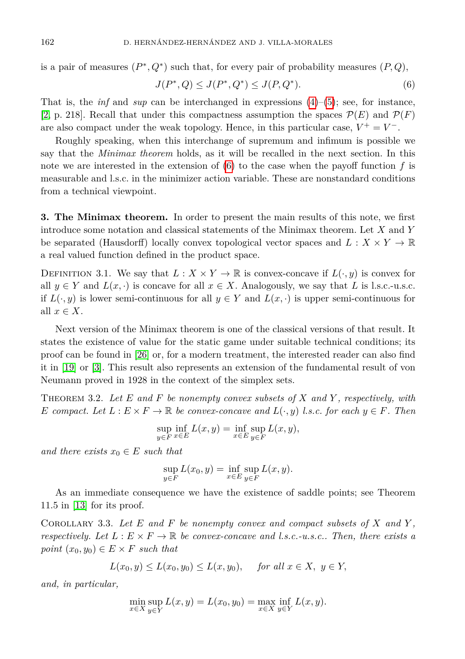is a pair of measures  $(P^*, Q^*)$  such that, for every pair of probability measures  $(P, Q)$ ,

<span id="page-3-1"></span>
$$
J(P^*, Q) \le J(P^*, Q^*) \le J(P, Q^*). \tag{6}
$$

That is, the *inf* and *sup* can be interchanged in expressions  $(4)$ – $(5)$ ; see, for instance, [\[2,](#page-8-0) p. 218]. Recall that under this compactness assumption the spaces  $\mathcal{P}(E)$  and  $\mathcal{P}(F)$ are also compact under the weak topology. Hence, in this particular case,  $V^+ = V^-$ .

Roughly speaking, when this interchange of supremum and infimum is possible we say that the *Minimax theorem* holds, as it will be recalled in the next section. In this note we are interested in the extension of [\(6\)](#page-3-1) to the case when the payoff function *f* is measurable and l.s.c. in the minimizer action variable. These are nonstandard conditions from a technical viewpoint.

<span id="page-3-0"></span>**3. The Minimax theorem.** In order to present the main results of this note, we first introduce some notation and classical statements of the Minimax theorem. Let *X* and *Y* be separated (Hausdorff) locally convex topological vector spaces and  $L: X \times Y \to \mathbb{R}$ a real valued function defined in the product space.

DEFINITION 3.1. We say that  $L: X \times Y \to \mathbb{R}$  is convex-concave if  $L(\cdot, y)$  is convex for all  $y \in Y$  and  $L(x, \cdot)$  is concave for all  $x \in X$ . Analogously, we say that L is l.s.c.-u.s.c. if  $L(\cdot, y)$  is lower semi-continuous for all  $y \in Y$  and  $L(x, \cdot)$  is upper semi-continuous for all  $x \in X$ .

Next version of the Minimax theorem is one of the classical versions of that result. It states the existence of value for the static game under suitable technical conditions; its proof can be found in [\[26\]](#page-9-15) or, for a modern treatment, the interested reader can also find it in [\[19\]](#page-9-16) or [\[3\]](#page-8-1). This result also represents an extension of the fundamental result of von Neumann proved in 1928 in the context of the simplex sets.

<span id="page-3-2"></span>Theorem 3.2. *Let E and F be nonempty convex subsets of X and Y , respectively, with E compact.* Let  $L: E \times F \to \mathbb{R}$  *be convex-concave and*  $L(\cdot, y)$  *l.s.c. for each*  $y \in F$ *. Then* 

$$
\sup_{y \in F} \inf_{x \in E} L(x, y) = \inf_{x \in E} \sup_{y \in F} L(x, y),
$$

*and there exists*  $x_0 \in E$  *such that* 

$$
\sup_{y \in F} L(x_0, y) = \inf_{x \in E} \sup_{y \in F} L(x, y).
$$

As an immediate consequence we have the existence of saddle points; see Theorem 11.5 in [\[13\]](#page-9-17) for its proof.

<span id="page-3-3"></span>Corollary 3.3. *Let E and F be nonempty convex and compact subsets of X and Y , respectively. Let*  $L : E \times F \to \mathbb{R}$  *be convex-concave and l.s.c.-u.s.c.. Then, there exists a point*  $(x_0, y_0) \in E \times F$  *such that* 

$$
L(x_0, y) \le L(x_0, y_0) \le L(x, y_0)
$$
, for all  $x \in X$ ,  $y \in Y$ ,

*and, in particular,*

$$
\min_{x \in X} \sup_{y \in Y} L(x, y) = L(x_0, y_0) = \max_{x \in X} \inf_{y \in Y} L(x, y).
$$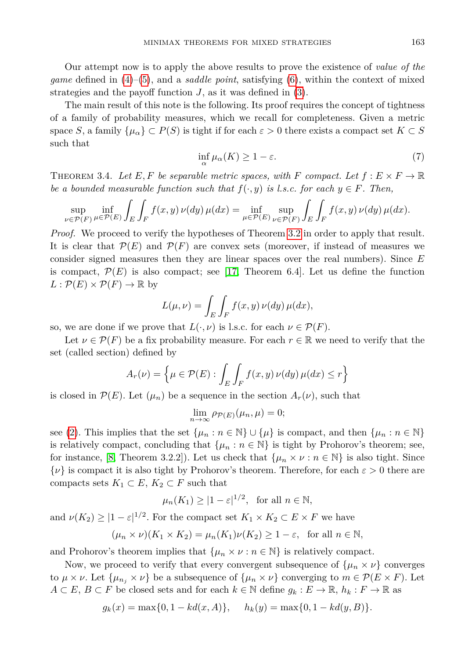Our attempt now is to apply the above results to prove the existence of *value of the game* defined in [\(4\)](#page-2-0)–[\(5\)](#page-2-1), and a *saddle point*, satisfying [\(6\)](#page-3-1), within the context of mixed strategies and the payoff function *J*, as it was defined in [\(3\)](#page-2-2).

<span id="page-4-0"></span>The main result of this note is the following. Its proof requires the concept of tightness of a family of probability measures, which we recall for completeness. Given a metric space *S*, a family  $\{\mu_{\alpha}\}\subset P(S)$  is tight if for each  $\varepsilon > 0$  there exists a compact set  $K \subset S$ such that

$$
\inf_{\alpha} \mu_{\alpha}(K) \ge 1 - \varepsilon. \tag{7}
$$

<span id="page-4-1"></span>THEOREM 3.4. Let E, F be separable metric spaces, with F compact. Let  $f: E \times F \to \mathbb{R}$ *be a bounded measurable function such that*  $f(\cdot, y)$  *is l.s.c. for each*  $y \in F$ *. Then,* 

$$
\sup_{\nu \in \mathcal{P}(F)} \inf_{\mu \in \mathcal{P}(E)} \int_{E} \int_{F} f(x, y) \, \nu(dy) \, \mu(dx) = \inf_{\mu \in \mathcal{P}(E)} \sup_{\nu \in \mathcal{P}(F)} \int_{E} \int_{F} f(x, y) \, \nu(dy) \, \mu(dx).
$$

*Proof.* We proceed to verify the hypotheses of Theorem [3.2](#page-3-2) in order to apply that result. It is clear that  $\mathcal{P}(E)$  and  $\mathcal{P}(F)$  are convex sets (moreover, if instead of measures we consider signed measures then they are linear spaces over the real numbers). Since *E* is compact,  $\mathcal{P}(E)$  is also compact; see [\[17,](#page-9-18) Theorem 6.4]. Let us define the function  $L: \mathcal{P}(E) \times \mathcal{P}(F) \to \mathbb{R}$  by

$$
L(\mu, \nu) = \int_{E} \int_{F} f(x, y) \, \nu(dy) \, \mu(dx),
$$

so, we are done if we prove that  $L(\cdot, \nu)$  is l.s.c. for each  $\nu \in \mathcal{P}(F)$ .

Let  $\nu \in \mathcal{P}(F)$  be a fix probability measure. For each  $r \in \mathbb{R}$  we need to verify that the set (called section) defined by

$$
A_r(\nu) = \left\{ \mu \in \mathcal{P}(E) : \int_E \int_F f(x, y) \, \nu(dy) \, \mu(dx) \le r \right\}
$$

is closed in  $\mathcal{P}(E)$ . Let  $(\mu_n)$  be a sequence in the section  $A_r(\nu)$ , such that

$$
\lim_{n \to \infty} \rho_{\mathcal{P}(E)}(\mu_n, \mu) = 0;
$$

see [\(2\)](#page-2-3). This implies that the set  $\{\mu_n : n \in \mathbb{N}\} \cup \{\mu\}$  is compact, and then  $\{\mu_n : n \in \mathbb{N}\}\$ is relatively compact, concluding that  $\{\mu_n : n \in \mathbb{N}\}\$ is tight by Prohorov's theorem; see, for instance, [\[8,](#page-9-19) Theorem 3.2.2]). Let us check that  $\{\mu_n \times \nu : n \in \mathbb{N}\}\$  is also tight. Since {*ν*} is compact it is also tight by Prohorov's theorem. Therefore, for each *ε >* 0 there are compacts sets  $K_1 \subset E$ ,  $K_2 \subset F$  such that

$$
\mu_n(K_1) \ge |1 - \varepsilon|^{1/2}, \text{ for all } n \in \mathbb{N},
$$

and  $\nu(K_2) \geq |1 - \varepsilon|^{1/2}$ . For the compact set  $K_1 \times K_2 \subset E \times F$  we have

$$
(\mu_n \times \nu)(K_1 \times K_2) = \mu_n(K_1)\nu(K_2) \ge 1 - \varepsilon, \text{ for all } n \in \mathbb{N},
$$

and Prohorov's theorem implies that  $\{\mu_n \times \nu : n \in \mathbb{N}\}\$ is relatively compact.

Now, we proceed to verify that every convergent subsequence of  $\{\mu_n \times \nu\}$  converges to  $\mu \times \nu$ . Let  $\{\mu_{n_i} \times \nu\}$  be a subsequence of  $\{\mu_n \times \nu\}$  converging to  $m \in \mathcal{P}(E \times F)$ . Let  $A \subset E, B \subset F$  be closed sets and for each  $k \in \mathbb{N}$  define  $g_k : E \to \mathbb{R}, h_k : F \to \mathbb{R}$  as

$$
g_k(x) = \max\{0, 1 - kd(x, A)\},
$$
  $h_k(y) = \max\{0, 1 - kd(y, B)\}.$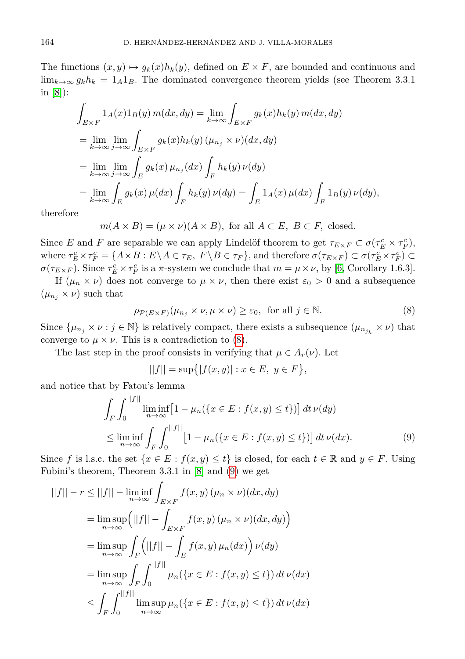The functions  $(x, y) \mapsto g_k(x)h_k(y)$ , defined on  $E \times F$ , are bounded and continuous and  $\lim_{k\to\infty} g_k h_k = 1_A 1_B$ . The dominated convergence theorem yields (see Theorem 3.3.1) in [\[8\]](#page-9-19)):

$$
\int_{E\times F} 1_A(x)1_B(y) m(dx, dy) = \lim_{k\to\infty} \int_{E\times F} g_k(x)h_k(y) m(dx, dy)
$$
  
\n
$$
= \lim_{k\to\infty} \lim_{j\to\infty} \int_{E\times F} g_k(x)h_k(y) (\mu_{n_j} \times \nu)(dx, dy)
$$
  
\n
$$
= \lim_{k\to\infty} \lim_{j\to\infty} \int_E g_k(x) \mu_{n_j}(dx) \int_F h_k(y) \nu(dy)
$$
  
\n
$$
= \lim_{k\to\infty} \int_E g_k(x) \mu(dx) \int_F h_k(y) \nu(dy) = \int_E 1_A(x) \mu(dx) \int_F 1_B(y) \nu(dy),
$$

therefore

$$
m(A \times B) = (\mu \times \nu)(A \times B)
$$
, for all  $A \subset E$ ,  $B \subset F$ , closed.

Since *E* and *F* are separable we can apply Lindelöf theorem to get  $\tau_{E\times F} \subset \sigma(\tau_E^c \times \tau_F^c)$ , where  $\tau_E^c \times \tau_F^c = \{ A \times B : E \setminus A \in \tau_E, F \setminus B \in \tau_F \}$ , and therefore  $\sigma(\tau_{E \times F}) \subset \sigma(\tau_E^c \times \tau_F^c) \subset$ *σ*(*τ*<sub>*E*×*F*</sub>). Since  $τ_E^c$  ×  $τ_F^c$  is a *π*-system we conclude that  $m = \mu \times \nu$ , by [\[6,](#page-9-20) Corollary 1.6.3].

If  $(\mu_n \times \nu)$  does not converge to  $\mu \times \nu$ , then there exist  $\varepsilon_0 > 0$  and a subsequence  $(\mu_{n_i} \times \nu)$  such that

<span id="page-5-0"></span>
$$
\rho_{\mathcal{P}(E \times F)}(\mu_{n_j} \times \nu, \mu \times \nu) \ge \varepsilon_0, \text{ for all } j \in \mathbb{N}.
$$
 (8)

Since  $\{\mu_{n_j} \times \nu : j \in \mathbb{N}\}\$  is relatively compact, there exists a subsequence  $(\mu_{n_{j_k}} \times \nu)$  that converge to  $\mu \times \nu$ . This is a contradiction to [\(8\)](#page-5-0).

The last step in the proof consists in verifying that  $\mu \in A_r(\nu)$ . Let

<span id="page-5-1"></span>
$$
||f|| = \sup\{|f(x,y)| : x \in E, y \in F\},\
$$

and notice that by Fatou's lemma

$$
\int_{F} \int_{0}^{||f||} \liminf_{n \to \infty} \left[ 1 - \mu_{n}(\{x \in E : f(x, y) \le t\}) \right] dt \, \nu(dy)
$$
\n
$$
\le \liminf_{n \to \infty} \int_{F} \int_{0}^{||f||} \left[ 1 - \mu_{n}(\{x \in E : f(x, y) \le t\}) \right] dt \, \nu(dx). \tag{9}
$$

Since *f* is l.s.c. the set  $\{x \in E : f(x, y) \le t\}$  is closed, for each  $t \in \mathbb{R}$  and  $y \in F$ . Using Fubini's theorem, Theorem 3.3.1 in [\[8\]](#page-9-19) and [\(9\)](#page-5-1) we get

$$
||f|| - r \le ||f|| - \liminf_{n \to \infty} \int_{E \times F} f(x, y) (\mu_n \times \nu)(dx, dy)
$$
  
\n
$$
= \limsup_{n \to \infty} (||f|| - \int_{E \times F} f(x, y) (\mu_n \times \nu)(dx, dy))
$$
  
\n
$$
= \limsup_{n \to \infty} \int_F (||f|| - \int_E f(x, y) \mu_n(dx)) \nu(dy)
$$
  
\n
$$
= \limsup_{n \to \infty} \int_F \int_0^{||f||} \mu_n(\{x \in E : f(x, y) \le t\}) dt \nu(dx)
$$
  
\n
$$
\le \int_F \int_0^{||f||} \limsup_{n \to \infty} \mu_n(\{x \in E : f(x, y) \le t\}) dt \nu(dx)
$$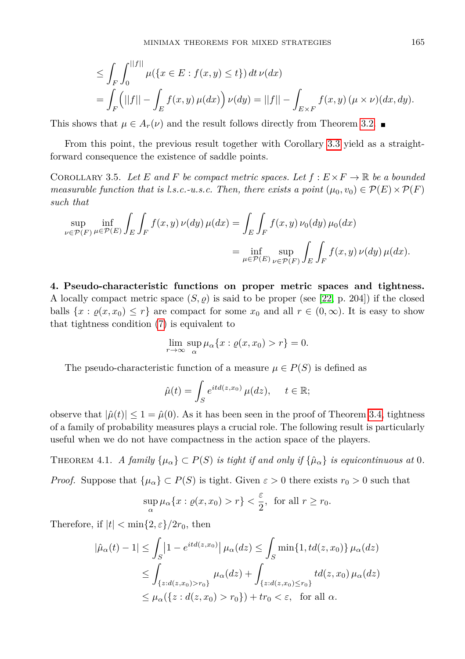$$
\leq \int_{F} \int_{0}^{||f||} \mu(\{x \in E : f(x, y) \leq t\}) dt \, \nu(dx)
$$
  
= 
$$
\int_{F} (||f|| - \int_{E} f(x, y) \, \mu(dx)) \, \nu(dy) = ||f|| - \int_{E \times F} f(x, y) \, (\mu \times \nu)(dx, dy).
$$

This shows that  $\mu \in A_r(\nu)$  and the result follows directly from Theorem [3.2.](#page-3-2)

From this point, the previous result together with Corollary [3.3](#page-3-3) yield as a straightforward consequence the existence of saddle points.

COROLLARY 3.5. Let E and F be compact metric spaces. Let  $f : E \times F \to \mathbb{R}$  be a bounded *measurable function that is l.s.c.-u.s.c. Then, there exists a point*  $(\mu_0, v_0) \in \mathcal{P}(E) \times \mathcal{P}(F)$ *such that*

$$
\sup_{\nu \in \mathcal{P}(F)} \inf_{\mu \in \mathcal{P}(E)} \int_{E} \int_{F} f(x, y) \nu(dy) \mu(dx) = \int_{E} \int_{F} f(x, y) \nu_0(dy) \mu_0(dx)
$$
  
= 
$$
\inf_{\mu \in \mathcal{P}(E)} \sup_{\nu \in \mathcal{P}(F)} \int_{E} \int_{F} f(x, y) \nu(dy) \mu(dx).
$$

<span id="page-6-0"></span>**4. Pseudo-characteristic functions on proper metric spaces and tightness.** A locally compact metric space  $(S, \rho)$  is said to be proper (see [\[22,](#page-9-21) p. 204]) if the closed balls  $\{x : \varrho(x, x_0) \leq r\}$  are compact for some  $x_0$  and all  $r \in (0, \infty)$ . It is easy to show that tightness condition [\(7\)](#page-4-0) is equivalent to

$$
\lim_{r \to \infty} \sup_{\alpha} \mu_{\alpha} \{ x : \varrho(x, x_0) > r \} = 0.
$$

The pseudo-characteristic function of a measure  $\mu \in P(S)$  is defined as

$$
\hat{\mu}(t) = \int_{S} e^{itd(z, x_0)} \mu(dz), \quad t \in \mathbb{R};
$$

observe that  $|\hat{\mu}(t)| \leq 1 = \hat{\mu}(0)$ . As it has been seen in the proof of Theorem [3.4,](#page-4-1) tightness of a family of probability measures plays a crucial role. The following result is particularly useful when we do not have compactness in the action space of the players.

<span id="page-6-1"></span>THEOREM 4.1. *A family*  $\{\mu_{\alpha}\}\subset P(S)$  *is tight if and only if*  $\{\hat{\mu}_{\alpha}\}\$  *is equicontinuous at* 0.

*Proof.* Suppose that  $\{\mu_{\alpha}\}\subset P(S)$  is tight. Given  $\varepsilon > 0$  there exists  $r_0 > 0$  such that

$$
\sup_{\alpha} \mu_{\alpha} \{x : \varrho(x, x_0) > r\} < \frac{\varepsilon}{2}, \text{ for all } r \ge r_0.
$$

Therefore, if  $|t| < \min\{2, \varepsilon\}/2r_0$ , then

$$
|\hat{\mu}_{\alpha}(t) - 1| \leq \int_{S} |1 - e^{itd(z, x_0)}| \mu_{\alpha}(dz) \leq \int_{S} \min\{1, td(z, x_0)\} \mu_{\alpha}(dz)
$$
  

$$
\leq \int_{\{z: d(z, x_0) > r_0\}} \mu_{\alpha}(dz) + \int_{\{z: d(z, x_0) \leq r_0\}} td(z, x_0) \mu_{\alpha}(dz)
$$
  

$$
\leq \mu_{\alpha}(\{z: d(z, x_0) > r_0\}) + tr_0 < \varepsilon, \text{ for all } \alpha.
$$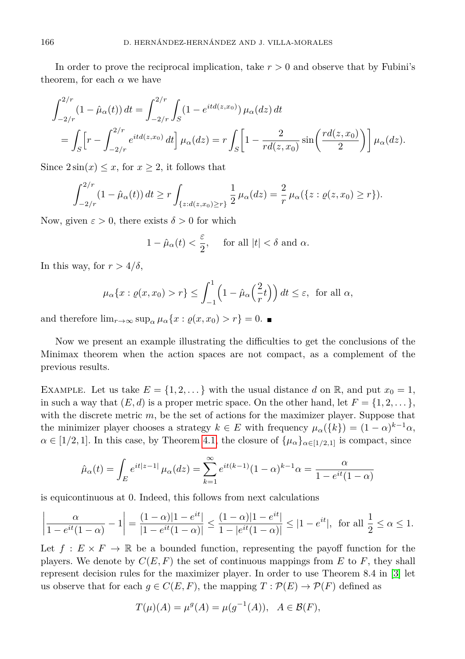In order to prove the reciprocal implication, take  $r > 0$  and observe that by Fubini's theorem, for each  $\alpha$  we have

$$
\int_{-2/r}^{2/r} (1 - \hat{\mu}_{\alpha}(t)) dt = \int_{-2/r}^{2/r} \int_{S} (1 - e^{itd(z, x_0)}) \mu_{\alpha}(dz) dt
$$
  
= 
$$
\int_{S} \left[ r - \int_{-2/r}^{2/r} e^{itd(z, x_0)} dt \right] \mu_{\alpha}(dz) = r \int_{S} \left[ 1 - \frac{2}{rd(z, x_0)} \sin\left(\frac{rd(z, x_0)}{2}\right) \right] \mu_{\alpha}(dz).
$$

Since  $2\sin(x) \leq x$ , for  $x \geq 2$ , it follows that

$$
\int_{-2/r}^{2/r} (1-\hat{\mu}_{\alpha}(t)) dt \ge r \int_{\{z:d(z,x_0)\ge r\}} \frac{1}{2} \mu_{\alpha}(dz) = \frac{2}{r} \mu_{\alpha}(\{z:\varrho(z,x_0)\ge r\}).
$$

Now, given  $\varepsilon > 0$ , there exists  $\delta > 0$  for which

$$
1 - \hat{\mu}_{\alpha}(t) < \frac{\varepsilon}{2}, \quad \text{ for all } |t| < \delta \text{ and } \alpha.
$$

In this way, for  $r > 4/\delta$ ,

$$
\mu_{\alpha}\lbrace x : \varrho(x, x_0) > r \rbrace \leq \int_{-1}^{1} \left(1 - \hat{\mu}_{\alpha}\left(\frac{2}{r}t\right)\right) dt \leq \varepsilon
$$
, for all  $\alpha$ ,

and therefore  $\lim_{r\to\infty} \sup_{\alpha} \mu_{\alpha} \{x : \varrho(x, x_0) > r\} = 0$ .

Now we present an example illustrating the difficulties to get the conclusions of the Minimax theorem when the action spaces are not compact, as a complement of the previous results.

EXAMPLE. Let us take  $E = \{1, 2, \ldots\}$  with the usual distance *d* on R, and put  $x_0 = 1$ , in such a way that  $(E, d)$  is a proper metric space. On the other hand, let  $F = \{1, 2, \ldots\}$ , with the discrete metric *m*, be the set of actions for the maximizer player. Suppose that the minimizer player chooses a strategy  $k \in E$  with frequency  $\mu_{\alpha}(\{k\}) = (1 - \alpha)^{k-1} \alpha$ ,  $\alpha \in [1/2, 1]$ . In this case, by Theorem [4.1,](#page-6-1) the closure of  $\{\mu_{\alpha}\}_{{\alpha \in [1/2, 1]} }$  is compact, since

$$
\hat{\mu}_{\alpha}(t) = \int_{E} e^{it|z-1|} \mu_{\alpha}(dz) = \sum_{k=1}^{\infty} e^{it(k-1)} (1-\alpha)^{k-1} \alpha = \frac{\alpha}{1 - e^{it}(1-\alpha)}
$$

is equicontinuous at 0. Indeed, this follows from next calculations

$$
\left|\frac{\alpha}{1-e^{it}(1-\alpha)}-1\right| = \frac{(1-\alpha)|1-e^{it}|}{|1-e^{it}(1-\alpha)|} \le \frac{(1-\alpha)|1-e^{it}|}{1-|e^{it}(1-\alpha)|} \le |1-e^{it}|, \text{ for all } \frac{1}{2} \le \alpha \le 1.
$$

Let  $f: E \times F \to \mathbb{R}$  be a bounded function, representing the payoff function for the players. We denote by  $C(E, F)$  the set of continuous mappings from  $E$  to  $F$ , they shall represent decision rules for the maximizer player. In order to use Theorem 8.4 in [\[3\]](#page-8-1) let us observe that for each  $g \in C(E, F)$ , the mapping  $T : \mathcal{P}(E) \to \mathcal{P}(F)$  defined as

$$
T(\mu)(A) = \mu^{g}(A) = \mu(g^{-1}(A)), \quad A \in \mathcal{B}(F),
$$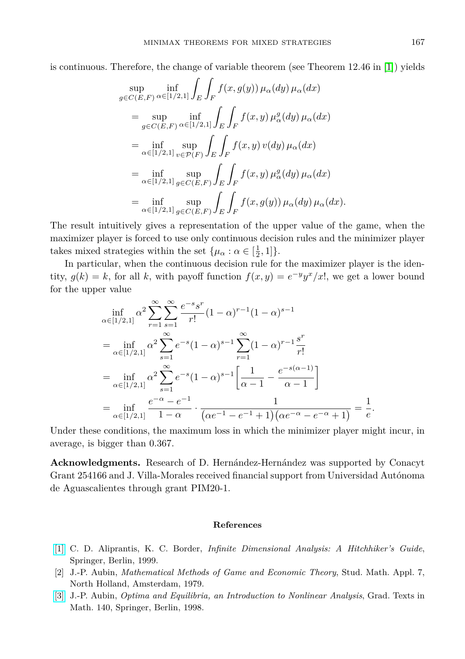$$
\sup_{g \in C(E,F)} \inf_{\alpha \in [1/2,1]} \int_{E} \int_{F} f(x,g(y)) \mu_{\alpha}(dy) \mu_{\alpha}(dx)
$$
\n
$$
= \sup_{g \in C(E,F)} \inf_{\alpha \in [1/2,1]} \int_{E} \int_{F} f(x,y) \mu_{\alpha}^{g}(dy) \mu_{\alpha}(dx)
$$
\n
$$
= \inf_{\alpha \in [1/2,1]} \sup_{v \in \mathcal{P}(F)} \int_{E} \int_{F} f(x,y) \nu(dy) \mu_{\alpha}(dx)
$$
\n
$$
= \inf_{\alpha \in [1/2,1]} \sup_{g \in C(E,F)} \int_{E} \int_{F} f(x,y) \mu_{\alpha}^{g}(dy) \mu_{\alpha}(dx)
$$
\n
$$
= \inf_{\alpha \in [1/2,1]} \sup_{g \in C(E,F)} \int_{E} \int_{F} f(x,g(y)) \mu_{\alpha}(dy) \mu_{\alpha}(dx).
$$

The result intuitively gives a representation of the upper value of the game, when the maximizer player is forced to use only continuous decision rules and the minimizer player takes mixed strategies within the set  $\{\mu_\alpha : \alpha \in [\frac{1}{2}, 1]\}.$ 

In particular, when the continuous decision rule for the maximizer player is the identity,  $g(k) = k$ , for all k, with payoff function  $f(x, y) = e^{-y}y^x/x!$ , we get a lower bound for the upper value

$$
\inf_{\alpha \in [1/2,1]} \alpha^2 \sum_{r=1}^{\infty} \sum_{s=1}^{\infty} \frac{e^{-s} s^r}{r!} (1 - \alpha)^{r-1} (1 - \alpha)^{s-1}
$$
\n
$$
= \inf_{\alpha \in [1/2,1]} \alpha^2 \sum_{s=1}^{\infty} e^{-s} (1 - \alpha)^{s-1} \sum_{r=1}^{\infty} (1 - \alpha)^{r-1} \frac{s^r}{r!}
$$
\n
$$
= \inf_{\alpha \in [1/2,1]} \alpha^2 \sum_{s=1}^{\infty} e^{-s} (1 - \alpha)^{s-1} \left[ \frac{1}{\alpha - 1} - \frac{e^{-s(\alpha - 1)}}{\alpha - 1} \right]
$$
\n
$$
= \inf_{\alpha \in [1/2,1]} \frac{e^{-\alpha} - e^{-1}}{1 - \alpha} \cdot \frac{1}{(\alpha e^{-1} - e^{-1} + 1)(\alpha e^{-\alpha} - e^{-\alpha} + 1)} = \frac{1}{e}.
$$

Under these conditions, the maximum loss in which the minimizer player might incur, in average, is bigger than 0*.*367.

**Acknowledgments.** Research of D. Hernández-Hernández was supported by Conacyt Grant 254166 and J. Villa-Morales received financial support from Universidad Autónoma de Aguascalientes through grant PIM20-1.

## **References**

- <span id="page-8-2"></span>[\[1\]](http://dx.doi.org/10.1007/978-3-662-03961-8) C. D. Aliprantis, K. C. Border, *Infinite Dimensional Analysis: A Hitchhiker's Guide*, Springer, Berlin, 1999.
- <span id="page-8-0"></span>[2] J.-P. Aubin, *Mathematical Methods of Game and Economic Theory*, Stud. Math. Appl. 7, North Holland, Amsterdam, 1979.
- <span id="page-8-1"></span>[\[3\]](http://dx.doi.org/10.1007/978-3-662-03539-9) J.-P. Aubin, *Optima and Equilibria, an Introduction to Nonlinear Analysis*, Grad. Texts in Math. 140, Springer, Berlin, 1998.